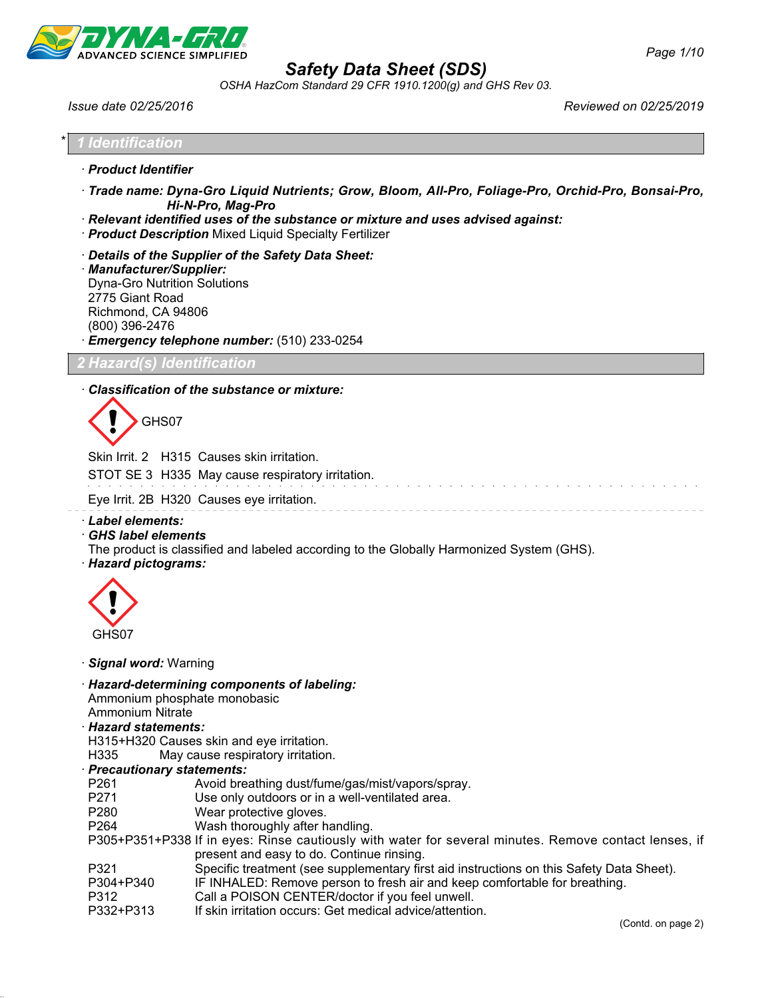

*OSHA HazCom Standard 29 CFR 1910.1200(g) and GHS Rev 03.*

*Issue date 02/25/2016 Reviewed on 02/25/2019*

| * l<br>$\mathcal{L}$ . The set of $\mathcal{L}$<br><b>Structure de la confidence de la confidence de la confidence de la confidence de la confidence de la confidence</b> |  |
|---------------------------------------------------------------------------------------------------------------------------------------------------------------------------|--|

- · *Product Identifier*
- · *Trade name: Dyna-Gro Liquid Nutrients; Grow, Bloom, All-Pro, Foliage-Pro, Orchid-Pro, Bonsai-Pro, Hi-N-Pro, Mag-Pro*
- · *Relevant identified uses of the substance or mixture and uses advised against:*
- · *Product Description* Mixed Liquid Specialty Fertilizer
- · *Details of the Supplier of the Safety Data Sheet:* · *Manufacturer/Supplier:* Dyna-Gro Nutrition Solutions 2775 Giant Road Richmond, CA 94806 (800) 396-2476 · *Emergency telephone number:* (510) 233-0254

*2 Hazard(s) Identification*

### · *Classification of the substance or mixture:*

GHS07

Skin Irrit. 2 H315 Causes skin irritation. STOT SE 3 H335 May cause respiratory irritation. Eye Irrit. 2B H320 Causes eye irritation.

- · *Label elements:*
- · *GHS label elements*

The product is classified and labeled according to the Globally Harmonized System (GHS).

· *Hazard pictograms:*



· *Signal word:* Warning

· *Hazard-determining components of labeling:*

Ammonium phosphate monobasic

- Ammonium Nitrate
- · *Hazard statements:*

H315+H320 Causes skin and eye irritation.

H335 May cause respiratory irritation.

### · *Precautionary statements:*

- P261 Avoid breathing dust/fume/gas/mist/vapors/spray.
- P271 Use only outdoors or in a well-ventilated area.
- P280 Wear protective gloves.
- P264 Wash thoroughly after handling.
- P305+P351+P338 If in eyes: Rinse cautiously with water for several minutes. Remove contact lenses, if present and easy to do. Continue rinsing.
- P321 Specific treatment (see supplementary first aid instructions on this Safety Data Sheet).
- P304+P340 IF INHALED: Remove person to fresh air and keep comfortable for breathing.
- P312 Call a POISON CENTER/doctor if you feel unwell.
- P332+P313 If skin irritation occurs: Get medical advice/attention.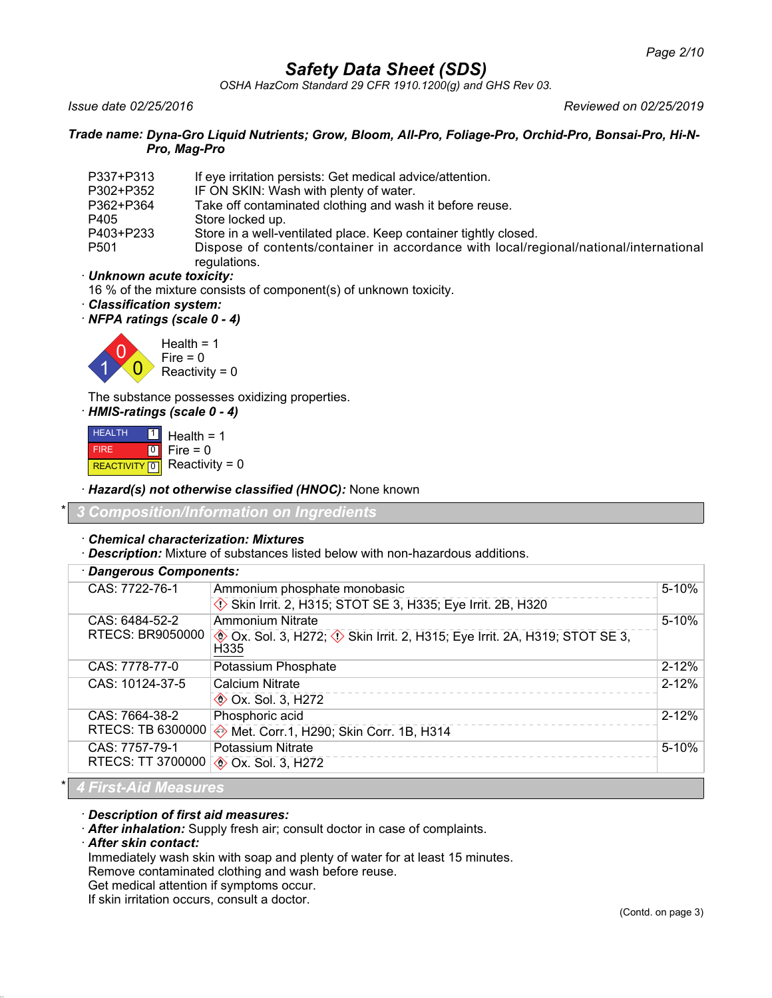*OSHA HazCom Standard 29 CFR 1910.1200(g) and GHS Rev 03.*

*Issue date 02/25/2016 Reviewed on 02/25/2019*

### *Trade name: Dyna-Gro Liquid Nutrients; Grow, Bloom, All-Pro, Foliage-Pro, Orchid-Pro, Bonsai-Pro, Hi-N-Pro, Mag-Pro*

| P337+P313        | If eye irritation persists: Get medical advice/attention.                                              |
|------------------|--------------------------------------------------------------------------------------------------------|
| P302+P352        | IF ON SKIN: Wash with plenty of water.                                                                 |
| P362+P364        | Take off contaminated clothing and wash it before reuse.                                               |
| P405             | Store locked up.                                                                                       |
| P403+P233        | Store in a well-ventilated place. Keep container tightly closed.                                       |
| P <sub>501</sub> | Dispose of contents/container in accordance with local/regional/national/international<br>regulations. |

### · *Unknown acute toxicity:*

16 % of the mixture consists of component(s) of unknown toxicity.

- · *Classification system:*
- · *NFPA ratings (scale 0 4)*



The substance possesses oxidizing properties.

· *HMIS-ratings (scale 0 - 4)* HEALTH FIRE REACTIVITY  $\boxed{0}$  Reactivity = 0  $\frac{1}{2}$  Health = 1  $\overline{\circ}$ Fire  $= 0$ 

· *Hazard(s) not otherwise classified (HNOC):* None known

\* *3 Composition/Information on Ingredients*

### · *Chemical characterization: Mixtures*

· *Description:* Mixture of substances listed below with non-hazardous additions.

| · Dangerous Components:    |                                                                                                                                    |           |
|----------------------------|------------------------------------------------------------------------------------------------------------------------------------|-----------|
| CAS: 7722-76-1             | Ammonium phosphate monobasic                                                                                                       | $5 - 10%$ |
|                            | Skin Irrit. 2, H315; STOT SE 3, H335; Eye Irrit. 2B, H320                                                                          |           |
| CAS: 6484-52-2             | <b>Ammonium Nitrate</b>                                                                                                            | $5 - 10%$ |
| <b>RTECS: BR9050000</b>    | <b>EXECUTE:</b> Ox. Sol. 3, H272; $\langle \cdot \rangle$ Skin Irrit. 2, H315; Eye Irrit. 2A, H319; STOT SE 3,<br>H <sub>335</sub> |           |
| CAS: 7778-77-0             | Potassium Phosphate                                                                                                                | $2 - 12%$ |
| CAS: 10124-37-5            | Calcium Nitrate                                                                                                                    | $2 - 12%$ |
|                            | <b>♦ Ox. Sol. 3, H272</b>                                                                                                          |           |
| CAS: 7664-38-2             | Phosphoric acid                                                                                                                    | $2 - 12%$ |
| RTECS: TB 6300000          | Met. Corr.1, H290; Skin Corr. 1B, H314                                                                                             |           |
| CAS: 7757-79-1             | <b>Potassium Nitrate</b>                                                                                                           | $5 - 10%$ |
| RTECS: TT 3700000          | <b>EXALUATE:</b> Ox. Sol. 3, H272                                                                                                  |           |
| <b>A Fined Ald Measure</b> |                                                                                                                                    |           |

### \* *4 First-Aid Measures*

· *Description of first aid measures:*

· *After inhalation:* Supply fresh air; consult doctor in case of complaints.

· *After skin contact:*

Immediately wash skin with soap and plenty of water for at least 15 minutes.

Remove contaminated clothing and wash before reuse.

Get medical attention if symptoms occur.

If skin irritation occurs, consult a doctor.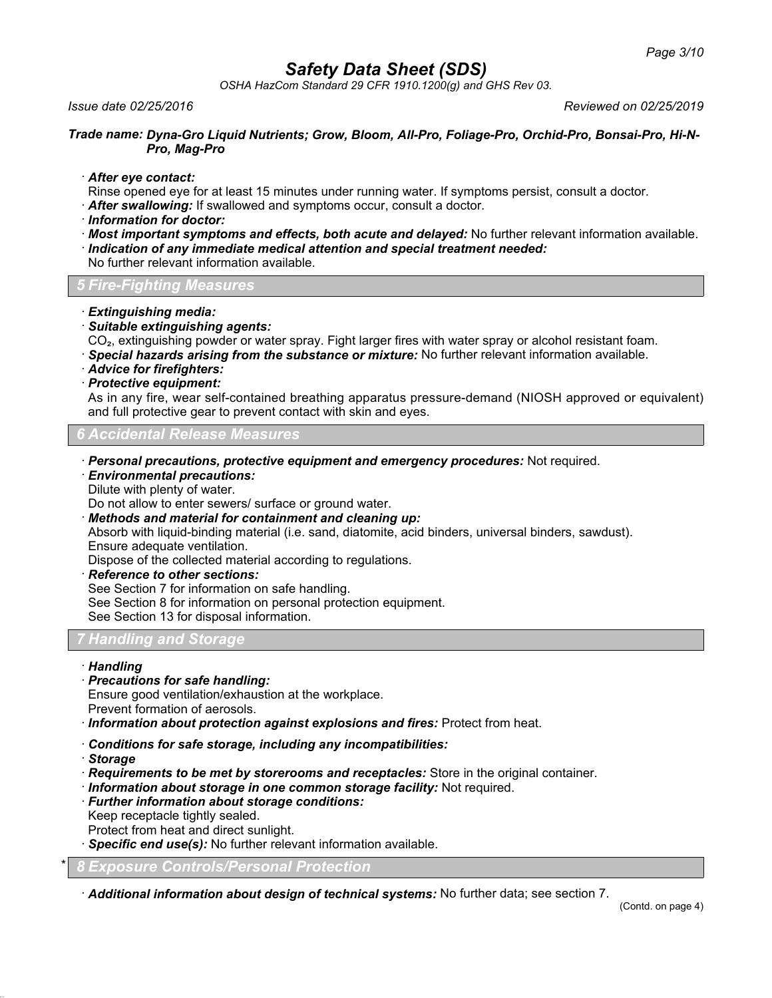*OSHA HazCom Standard 29 CFR 1910.1200(g) and GHS Rev 03.*

### *Issue date 02/25/2016 Reviewed on 02/25/2019*

#### *Trade name: Dyna-Gro Liquid Nutrients; Grow, Bloom, All-Pro, Foliage-Pro, Orchid-Pro, Bonsai-Pro, Hi-N-Pro, Mag-Pro*

· *After eye contact:*

Rinse opened eye for at least 15 minutes under running water. If symptoms persist, consult a doctor.

- · *After swallowing:* If swallowed and symptoms occur, consult a doctor.
- · *Information for doctor:*
- · *Most important symptoms and effects, both acute and delayed:* No further relevant information available. · *Indication of any immediate medical attention and special treatment needed:*

No further relevant information available.

*5 Fire-Fighting Measures*

- · *Extinguishing media:*
- · *Suitable extinguishing agents:*

CO₂, extinguishing powder or water spray. Fight larger fires with water spray or alcohol resistant foam.

- · *Special hazards arising from the substance or mixture:* No further relevant information available.
- · *Advice for firefighters:*
- · *Protective equipment:*

As in any fire, wear self-contained breathing apparatus pressure-demand (NIOSH approved or equivalent) and full protective gear to prevent contact with skin and eyes.

### *6 Accidental Release Measures*

- · *Personal precautions, protective equipment and emergency procedures:* Not required.
- · *Environmental precautions:*
- Dilute with plenty of water.

Do not allow to enter sewers/ surface or ground water.

· *Methods and material for containment and cleaning up:*

Absorb with liquid-binding material (i.e. sand, diatomite, acid binders, universal binders, sawdust). Ensure adequate ventilation.

Dispose of the collected material according to regulations.

· *Reference to other sections:*

See Section 7 for information on safe handling.

See Section 8 for information on personal protection equipment.

See Section 13 for disposal information.

## *7 Handling and Storage*

- · *Handling*
- · *Precautions for safe handling:*

Ensure good ventilation/exhaustion at the workplace.

- Prevent formation of aerosols.
- · *Information about protection against explosions and fires:* Protect from heat.
- · *Conditions for safe storage, including any incompatibilities:*
- · *Storage*
- · *Requirements to be met by storerooms and receptacles:* Store in the original container.
- · *Information about storage in one common storage facility:* Not required.
- · *Further information about storage conditions:*
- Keep receptacle tightly sealed.
- Protect from heat and direct sunlight.
- · *Specific end use(s):* No further relevant information available.

\* *8 Exposure Controls/Personal Protection*

· *Additional information about design of technical systems:* No further data; see section 7.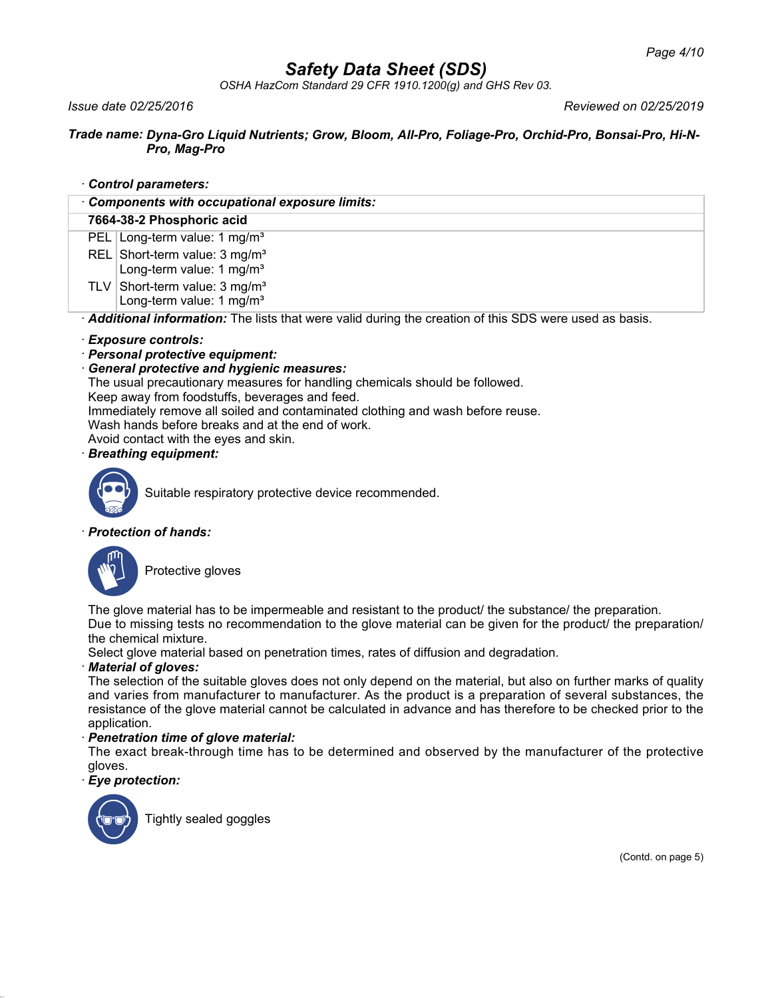*OSHA HazCom Standard 29 CFR 1910.1200(g) and GHS Rev 03.*

*Issue date 02/25/2016 Reviewed on 02/25/2019*

### *Trade name: Dyna-Gro Liquid Nutrients; Grow, Bloom, All-Pro, Foliage-Pro, Orchid-Pro, Bonsai-Pro, Hi-N-Pro, Mag-Pro*

· *Control parameters:*

| Components with occupational exposure limits:                                                         |
|-------------------------------------------------------------------------------------------------------|
| 7664-38-2 Phosphoric acid                                                                             |
| PEL Long-term value: 1 mg/m <sup>3</sup>                                                              |
| REL Short-term value: 3 mg/m <sup>3</sup><br>Long-term value: 1 mg/m <sup>3</sup>                     |
| TLV Short-term value: $3 \text{ mg/m}^3$<br>Long-term value: 1 mg/m <sup>3</sup>                      |
| Additional information: The lists that were valid during the creation of this SDS were used as basis. |

## · *Exposure controls:*

## · *Personal protective equipment:*

## · *General protective and hygienic measures:*

The usual precautionary measures for handling chemicals should be followed.

Keep away from foodstuffs, beverages and feed.

Immediately remove all soiled and contaminated clothing and wash before reuse.

Wash hands before breaks and at the end of work.

Avoid contact with the eyes and skin.

## · *Breathing equipment:*



Suitable respiratory protective device recommended.

## · *Protection of hands:*



Protective gloves

The glove material has to be impermeable and resistant to the product/ the substance/ the preparation.

Due to missing tests no recommendation to the glove material can be given for the product/ the preparation/ the chemical mixture.

Select glove material based on penetration times, rates of diffusion and degradation.

## · *Material of gloves:*

The selection of the suitable gloves does not only depend on the material, but also on further marks of quality and varies from manufacturer to manufacturer. As the product is a preparation of several substances, the resistance of the glove material cannot be calculated in advance and has therefore to be checked prior to the application.

## · *Penetration time of glove material:*

The exact break-through time has to be determined and observed by the manufacturer of the protective gloves.

· *Eye protection:*



Tightly sealed goggles

(Contd. on page 5)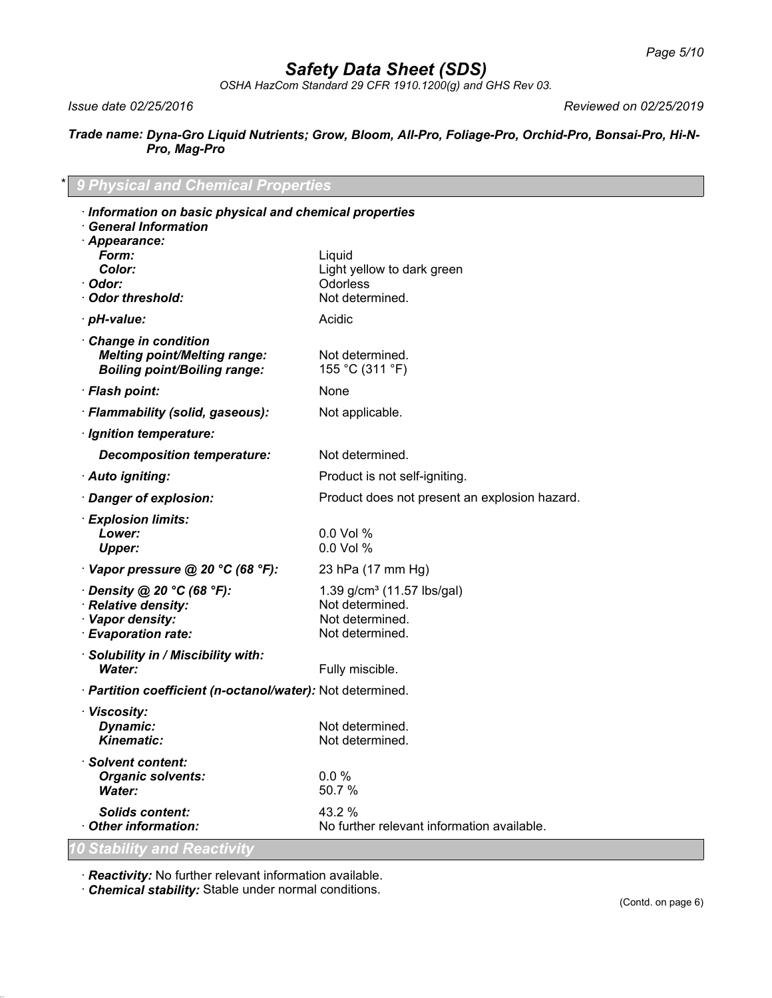*OSHA HazCom Standard 29 CFR 1910.1200(g) and GHS Rev 03.*

*Issue date 02/25/2016 Reviewed on 02/25/2019*

### *Trade name: Dyna-Gro Liquid Nutrients; Grow, Bloom, All-Pro, Foliage-Pro, Orchid-Pro, Bonsai-Pro, Hi-N-Pro, Mag-Pro*

## \* *9 Physical and Chemical Properties*

| Information on basic physical and chemical properties<br><b>General Information</b>               |                                                                                                 |  |
|---------------------------------------------------------------------------------------------------|-------------------------------------------------------------------------------------------------|--|
| · Appearance:<br>Form:<br><b>Color:</b><br>· Odor:<br>Odor threshold:                             | Liquid<br>Light yellow to dark green<br><b>Odorless</b><br>Not determined.                      |  |
| · pH-value:                                                                                       | Acidic                                                                                          |  |
| Change in condition<br><b>Melting point/Melting range:</b><br><b>Boiling point/Boiling range:</b> | Not determined.<br>155 °C (311 °F)                                                              |  |
| · Flash point:                                                                                    | None                                                                                            |  |
| · Flammability (solid, gaseous):                                                                  | Not applicable.                                                                                 |  |
| · Ignition temperature:                                                                           |                                                                                                 |  |
| <b>Decomposition temperature:</b>                                                                 | Not determined.                                                                                 |  |
| · Auto igniting:                                                                                  | Product is not self-igniting.                                                                   |  |
| · Danger of explosion:                                                                            | Product does not present an explosion hazard.                                                   |  |
| · Explosion limits:<br>Lower:<br><b>Upper:</b>                                                    | 0.0 Vol %<br>0.0 Vol %                                                                          |  |
| $\cdot$ Vapor pressure @ 20 °C (68 °F):                                                           | 23 hPa (17 mm Hg)                                                                               |  |
| Density @ 20 °C (68 °F):<br>· Relative density:<br>· Vapor density:<br>· Evaporation rate:        | 1.39 g/cm <sup>3</sup> (11.57 lbs/gal)<br>Not determined.<br>Not determined.<br>Not determined. |  |
| · Solubility in / Miscibility with:<br><b>Water:</b>                                              | Fully miscible.                                                                                 |  |
| · Partition coefficient (n-octanol/water): Not determined.                                        |                                                                                                 |  |
| · Viscosity:<br>Dynamic:<br><b>Kinematic:</b>                                                     | Not determined.<br>Not determined.                                                              |  |
| · Solvent content:<br><b>Organic solvents:</b><br>Water:                                          | 0.0 %<br>50.7 %                                                                                 |  |
| <b>Solids content:</b><br>Other information:                                                      | 43.2 %<br>No further relevant information available.                                            |  |
| <u>10 Stability and Reactivity</u>                                                                |                                                                                                 |  |

· *Reactivity:* No further relevant information available.

· *Chemical stability:* Stable under normal conditions.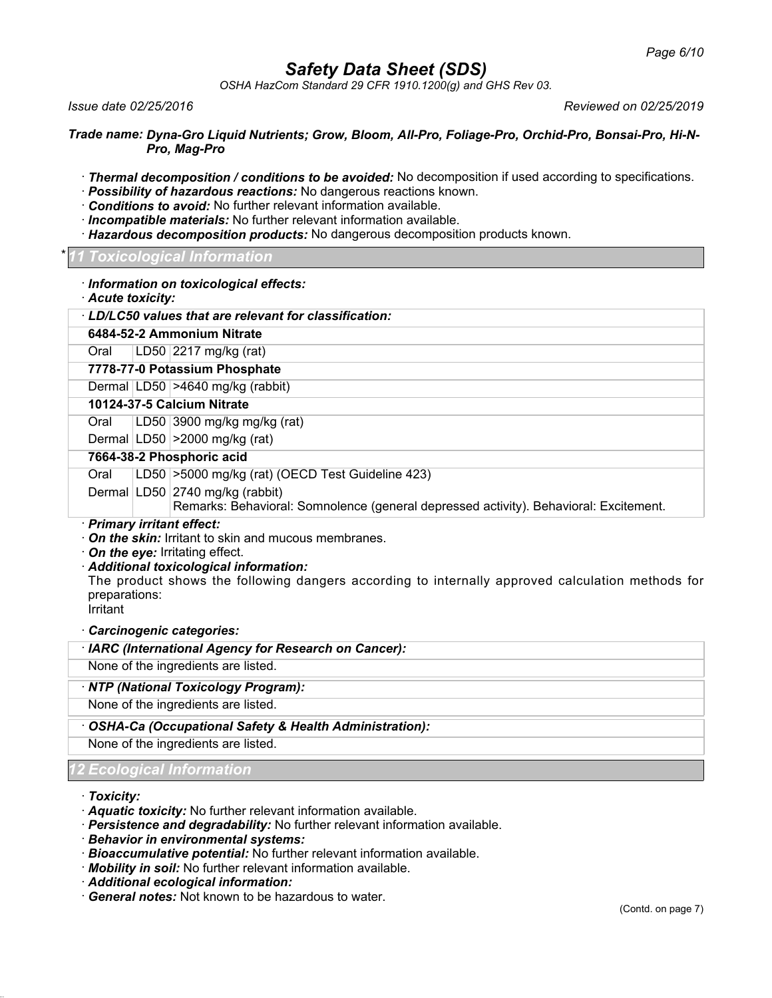*OSHA HazCom Standard 29 CFR 1910.1200(g) and GHS Rev 03.*

*Issue date 02/25/2016 Reviewed on 02/25/2019*

*Trade name: Dyna-Gro Liquid Nutrients; Grow, Bloom, All-Pro, Foliage-Pro, Orchid-Pro, Bonsai-Pro, Hi-N-Pro, Mag-Pro*

- · *Thermal decomposition / conditions to be avoided:* No decomposition if used according to specifications.
- · *Possibility of hazardous reactions:* No dangerous reactions known.
- · *Conditions to avoid:* No further relevant information available.
- · *Incompatible materials:* No further relevant information available.
- · *Hazardous decomposition products:* No dangerous decomposition products known.

#### \* *11 Toxicological Information*

#### · *Information on toxicological effects:*

· *Acute toxicity:*

|                           | LD/LC50 values that are relevant for classification:                                  |
|---------------------------|---------------------------------------------------------------------------------------|
|                           | 6484-52-2 Ammonium Nitrate                                                            |
| Oral                      | LD50   2217 mg/kg (rat)                                                               |
|                           | 7778-77-0 Potassium Phosphate                                                         |
|                           | Dermal LD50 > 4640 mg/kg (rabbit)                                                     |
|                           | 10124-37-5 Calcium Nitrate                                                            |
| Oral                      | LD50   3900 mg/kg mg/kg (rat)                                                         |
|                           | Dermal LD50 > 2000 mg/kg (rat)                                                        |
| 7664-38-2 Phosphoric acid |                                                                                       |
| Oral                      | LD50 > 5000 mg/kg (rat) (OECD Test Guideline 423)                                     |
|                           | Dermal LD50 2740 mg/kg (rabbit)                                                       |
|                           | Remarks: Behavioral: Somnolence (general depressed activity). Behavioral: Excitement. |

· *Primary irritant effect:*

- · *On the skin:* Irritant to skin and mucous membranes.
- · *On the eye:* Irritating effect.
- · *Additional toxicological information:*

The product shows the following dangers according to internally approved calculation methods for preparations:

**Irritant** 

### · *Carcinogenic categories:*

### · *IARC (International Agency for Research on Cancer):*

None of the ingredients are listed.

### · *NTP (National Toxicology Program):*

None of the ingredients are listed.

### · *OSHA-Ca (Occupational Safety & Health Administration):*

None of the ingredients are listed.

## *12 Ecological Information*

· *Toxicity:*

- · *Aquatic toxicity:* No further relevant information available.
- · *Persistence and degradability:* No further relevant information available.
- · *Behavior in environmental systems:*
- · *Bioaccumulative potential:* No further relevant information available.
- · *Mobility in soil:* No further relevant information available.
- · *Additional ecological information:*
- · *General notes:* Not known to be hazardous to water.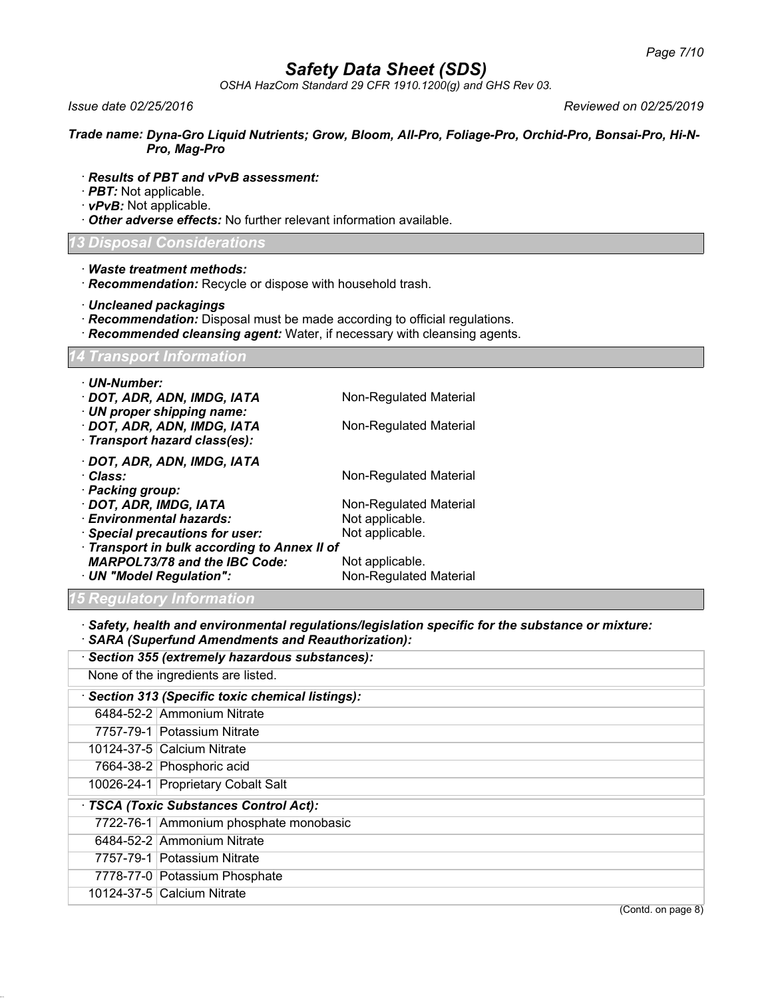*OSHA HazCom Standard 29 CFR 1910.1200(g) and GHS Rev 03.*

*Issue date 02/25/2016 Reviewed on 02/25/2019*

*Trade name: Dyna-Gro Liquid Nutrients; Grow, Bloom, All-Pro, Foliage-Pro, Orchid-Pro, Bonsai-Pro, Hi-N-Pro, Mag-Pro*

- · *Results of PBT and vPvB assessment:*
- · *PBT:* Not applicable.
- · *vPvB:* Not applicable.
- · *Other adverse effects:* No further relevant information available.

#### *13 Disposal Considerations*

- · *Waste treatment methods:*
- · *Recommendation:* Recycle or dispose with household trash.
- · *Uncleaned packagings*
- · *Recommendation:* Disposal must be made according to official regulations.
- · *Recommended cleansing agent:* Water, if necessary with cleansing agents.

#### *14 Transport Information*

| · UN-Number:<br>· DOT, ADR, ADN, IMDG, IATA<br>· UN proper shipping name:<br>· DOT, ADR, ADN, IMDG, IATA<br>· Transport hazard class(es): | Non-Regulated Material<br>Non-Regulated Material |
|-------------------------------------------------------------------------------------------------------------------------------------------|--------------------------------------------------|
| · DOT, ADR, ADN, IMDG, IATA<br>· Class:<br>· Packing group:<br>· DOT, ADR, IMDG, IATA                                                     | Non-Regulated Material<br>Non-Regulated Material |
| · Environmental hazards:                                                                                                                  | Not applicable.                                  |
| · Special precautions for user:                                                                                                           | Not applicable.                                  |
| · Transport in bulk according to Annex II of<br><b>MARPOL73/78 and the IBC Code:</b><br>· UN "Model Regulation":                          | Not applicable.<br>Non-Regulated Material        |

### *15 Regulatory Information*

· *Safety, health and environmental regulations/legislation specific for the substance or mixture:* · *SARA (Superfund Amendments and Reauthorization):*

|                                                 | SARA (Superfund Amendments and Reauthorization):  |  |  |
|-------------------------------------------------|---------------------------------------------------|--|--|
| · Section 355 (extremely hazardous substances): |                                                   |  |  |
|                                                 | None of the ingredients are listed.               |  |  |
|                                                 | · Section 313 (Specific toxic chemical listings): |  |  |
|                                                 | 6484-52-2 Ammonium Nitrate                        |  |  |
|                                                 | 7757-79-1 Potassium Nitrate                       |  |  |
|                                                 | 10124-37-5 Calcium Nitrate                        |  |  |
|                                                 | 7664-38-2 Phosphoric acid                         |  |  |
|                                                 | 10026-24-1 Proprietary Cobalt Salt                |  |  |
|                                                 | · TSCA (Toxic Substances Control Act):            |  |  |
|                                                 | 7722-76-1 Ammonium phosphate monobasic            |  |  |
|                                                 | 6484-52-2 Ammonium Nitrate                        |  |  |
|                                                 | 7757-79-1 Potassium Nitrate                       |  |  |
|                                                 | 7778-77-0 Potassium Phosphate                     |  |  |
|                                                 | 10124-37-5 Calcium Nitrate                        |  |  |
|                                                 | (Contd. on page 8)                                |  |  |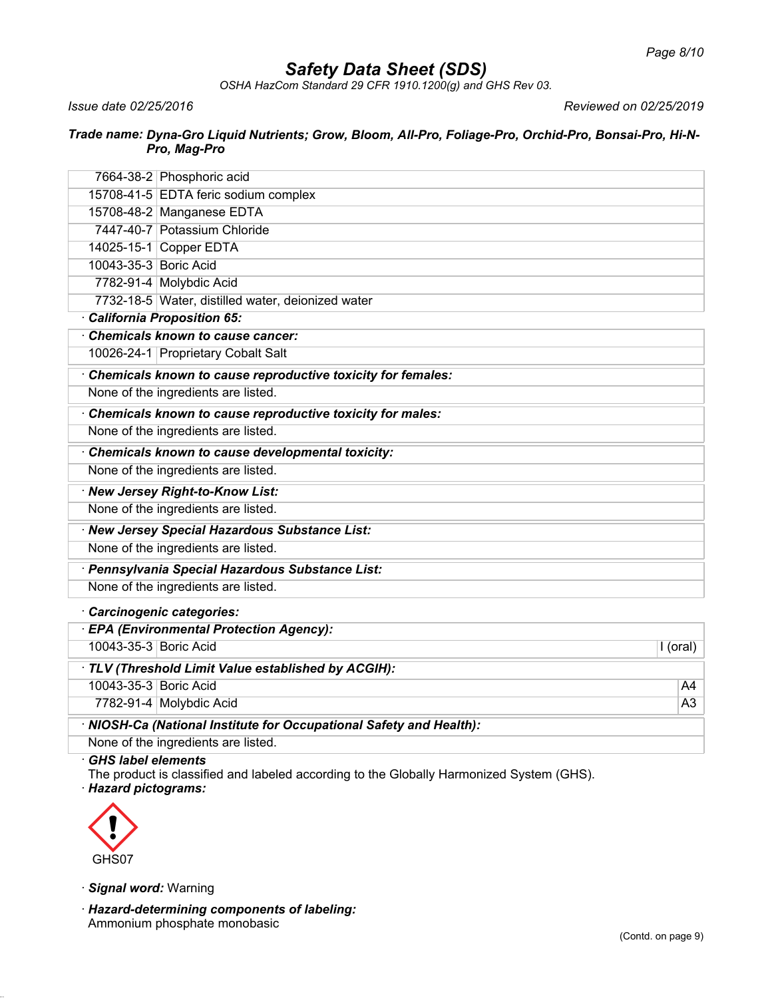*OSHA HazCom Standard 29 CFR 1910.1200(g) and GHS Rev 03.*

*Issue date 02/25/2016 Reviewed on 02/25/2019*

#### *Trade name: Dyna-Gro Liquid Nutrients; Grow, Bloom, All-Pro, Foliage-Pro, Orchid-Pro, Bonsai-Pro, Hi-N-Pro, Mag-Pro*

|                                                  | 7664-38-2 Phosphoric acid                                           |                |  |
|--------------------------------------------------|---------------------------------------------------------------------|----------------|--|
|                                                  | 15708-41-5 EDTA feric sodium complex                                |                |  |
|                                                  | 15708-48-2 Manganese EDTA                                           |                |  |
|                                                  | 7447-40-7 Potassium Chloride                                        |                |  |
|                                                  | 14025-15-1 Copper EDTA                                              |                |  |
| 10043-35-3 Boric Acid                            |                                                                     |                |  |
|                                                  | 7782-91-4 Molybdic Acid                                             |                |  |
|                                                  | 7732-18-5 Water, distilled water, deionized water                   |                |  |
|                                                  | California Proposition 65:                                          |                |  |
|                                                  | Chemicals known to cause cancer:                                    |                |  |
|                                                  | 10026-24-1 Proprietary Cobalt Salt                                  |                |  |
|                                                  | Chemicals known to cause reproductive toxicity for females:         |                |  |
|                                                  | None of the ingredients are listed.                                 |                |  |
|                                                  | Chemicals known to cause reproductive toxicity for males:           |                |  |
|                                                  | None of the ingredients are listed.                                 |                |  |
| Chemicals known to cause developmental toxicity: |                                                                     |                |  |
| None of the ingredients are listed.              |                                                                     |                |  |
| · New Jersey Right-to-Know List:                 |                                                                     |                |  |
| None of the ingredients are listed.              |                                                                     |                |  |
|                                                  | · New Jersey Special Hazardous Substance List:                      |                |  |
| None of the ingredients are listed.              |                                                                     |                |  |
|                                                  | · Pennsylvania Special Hazardous Substance List:                    |                |  |
|                                                  | None of the ingredients are listed.                                 |                |  |
|                                                  | · Carcinogenic categories:                                          |                |  |
|                                                  | · EPA (Environmental Protection Agency):                            |                |  |
| 10043-35-3 Boric Acid                            |                                                                     | I (oral)       |  |
|                                                  | · TLV (Threshold Limit Value established by ACGIH):                 |                |  |
| 10043-35-3 Boric Acid                            |                                                                     | A4             |  |
|                                                  | 7782-91-4 Molybdic Acid                                             | A <sub>3</sub> |  |
|                                                  | · NIOSH-Ca (National Institute for Occupational Safety and Health): |                |  |
|                                                  | None of the ingredients are listed.                                 |                |  |

· *GHS label elements*

The product is classified and labeled according to the Globally Harmonized System (GHS). · *Hazard pictograms:*



· *Signal word:* Warning

· *Hazard-determining components of labeling:* Ammonium phosphate monobasic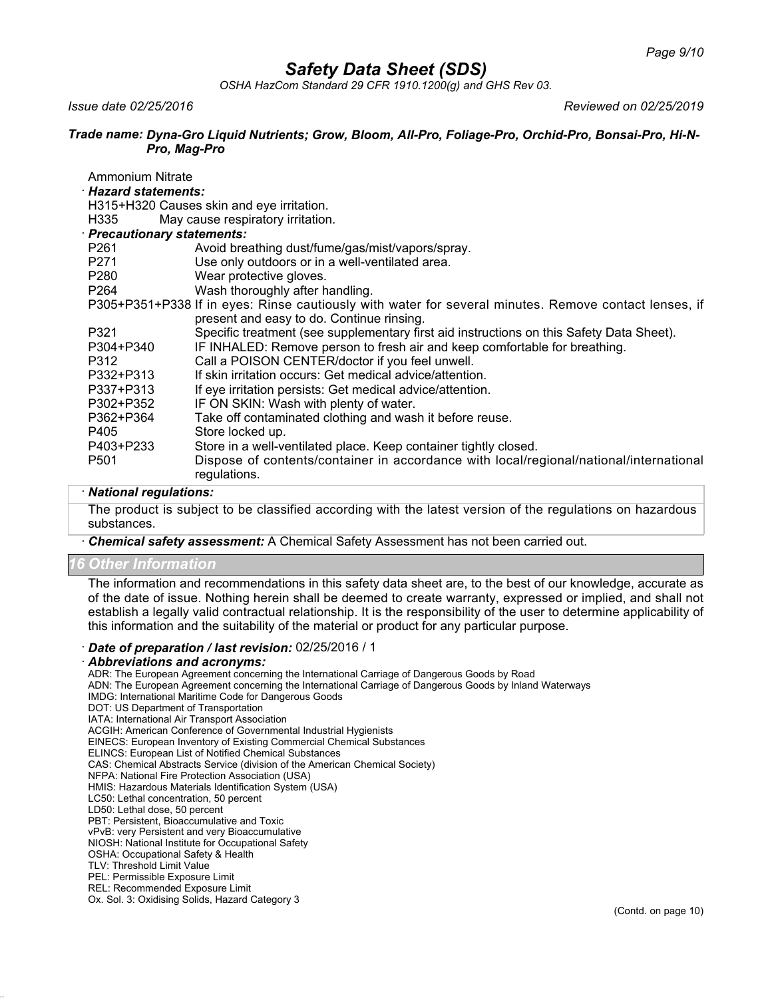*OSHA HazCom Standard 29 CFR 1910.1200(g) and GHS Rev 03.*

*Issue date 02/25/2016 Reviewed on 02/25/2019*

#### *Trade name: Dyna-Gro Liquid Nutrients; Grow, Bloom, All-Pro, Foliage-Pro, Orchid-Pro, Bonsai-Pro, Hi-N-Pro, Mag-Pro*

| Ammonium Nitrate            |                                                                                                        |  |
|-----------------------------|--------------------------------------------------------------------------------------------------------|--|
| · Hazard statements:        |                                                                                                        |  |
|                             | H315+H320 Causes skin and eye irritation.                                                              |  |
| H335                        | May cause respiratory irritation.                                                                      |  |
| · Precautionary statements: |                                                                                                        |  |
| P261                        | Avoid breathing dust/fume/gas/mist/vapors/spray.                                                       |  |
| P271                        | Use only outdoors or in a well-ventilated area.                                                        |  |
| P280                        | Wear protective gloves.                                                                                |  |
| P <sub>264</sub>            | Wash thoroughly after handling.                                                                        |  |
|                             | P305+P351+P338 If in eyes: Rinse cautiously with water for several minutes. Remove contact lenses, if  |  |
|                             | present and easy to do. Continue rinsing.                                                              |  |
| P321                        | Specific treatment (see supplementary first aid instructions on this Safety Data Sheet).               |  |
| P304+P340                   | IF INHALED: Remove person to fresh air and keep comfortable for breathing.                             |  |
| P312                        | Call a POISON CENTER/doctor if you feel unwell.                                                        |  |
| P332+P313                   | If skin irritation occurs: Get medical advice/attention.                                               |  |
| P337+P313                   | If eye irritation persists: Get medical advice/attention.                                              |  |
| P302+P352                   | IF ON SKIN: Wash with plenty of water.                                                                 |  |
| P362+P364                   | Take off contaminated clothing and wash it before reuse.                                               |  |
| P405                        | Store locked up.                                                                                       |  |
| P403+P233                   | Store in a well-ventilated place. Keep container tightly closed.                                       |  |
| P <sub>501</sub>            | Dispose of contents/container in accordance with local/regional/national/international<br>regulations. |  |

## · *National regulations:*

The product is subject to be classified according with the latest version of the regulations on hazardous substances.

· *Chemical safety assessment:* A Chemical Safety Assessment has not been carried out.

#### *16 Other Information*

The information and recommendations in this safety data sheet are, to the best of our knowledge, accurate as of the date of issue. Nothing herein shall be deemed to create warranty, expressed or implied, and shall not establish a legally valid contractual relationship. It is the responsibility of the user to determine applicability of this information and the suitability of the material or product for any particular purpose.

#### · *Date of preparation / last revision:* 02/25/2016 / 1

#### · *Abbreviations and acronyms:*

ADR: The European Agreement concerning the International Carriage of Dangerous Goods by Road

ADN: The European Agreement concerning the International Carriage of Dangerous Goods by Inland Waterways

- IMDG: International Maritime Code for Dangerous Goods
- DOT: US Department of Transportation
- IATA: International Air Transport Association

ACGIH: American Conference of Governmental Industrial Hygienists

- EINECS: European Inventory of Existing Commercial Chemical Substances
- ELINCS: European List of Notified Chemical Substances

CAS: Chemical Abstracts Service (division of the American Chemical Society) NFPA: National Fire Protection Association (USA)

HMIS: Hazardous Materials Identification System (USA) LC50: Lethal concentration, 50 percent

LD50: Lethal dose, 50 percent

PBT: Persistent, Bioaccumulative and Toxic

vPvB: very Persistent and very Bioaccumulative

NIOSH: National Institute for Occupational Safety

OSHA: Occupational Safety & Health

TLV: Threshold Limit Value

PEL: Permissible Exposure Limit

REL: Recommended Exposure Limit

Ox. Sol. 3: Oxidising Solids, Hazard Category 3